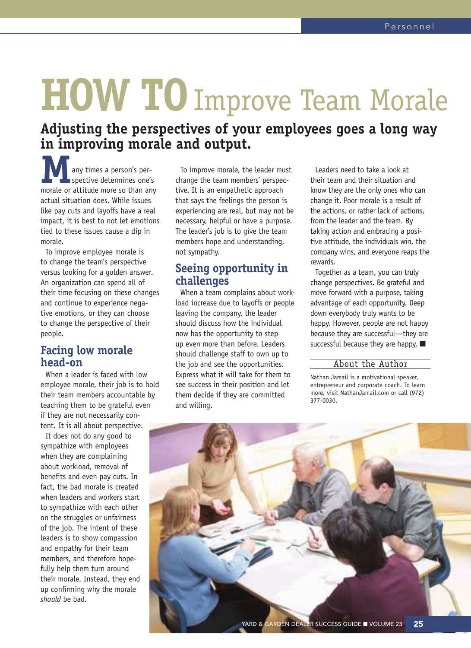# **HOW TO**Improve Team Morale

## **Adjusting the perspectives of your employees goes a long way in improving morale and output.**

**M**any times a person's perspective determines one's morale or attitude more so than any actual situation does. While issues like pay cuts and layoffs have a real impact, it is best to not let emotions tied to these issues cause a dip in morale.

To improve employee morale is to change the team's perspective versus looking for a golden answer. An organization can spend all of their time focusing on these changes and continue to experience negative emotions, or they can choose to change the perspective of their people.

### **Facing low morale head-on**

When a leader is faced with low employee morale, their job is to hold their team members accountable by teaching them to be grateful even if they are not necessarily content. It is all about perspective.

It does not do any good to sympathize with employees when they are complaining about workload, removal of benefits and even pay cuts. In fact, the bad morale is created when leaders and workers start to sympathize with each other on the struggles or unfairness of the job. The intent of these leaders is to show compassion and empathy for their team members, and therefore hopefully help them turn around their morale. Instead, they end up confirming why the morale *should* be bad.

To improve morale, the leader must change the team members' perspective. It is an empathetic approach that says the feelings the person is experiencing are real, but may not be necessary, helpful or have a purpose. The leader's job is to give the team members hope and understanding, not sympathy.

#### **Seeing opportunity in challenges**

When a team complains about workload increase due to layoffs or people leaving the company, the leader should discuss how the individual now has the opportunity to step up even more than before. Leaders should challenge staff to own up to the job and see the opportunities. Express what it will take for them to see success in their position and let them decide if they are committed and willing.

Leaders need to take a look at their team and their situation and know they are the only ones who can change it. Poor morale is a result of the actions, or rather lack of actions, from the leader and the team. By taking action and embracing a positive attitude, the individuals win, the company wins, and everyone reaps the rewards.

Together as a team, you can truly change perspectives. Be grateful and move forward with a purpose, taking advantage of each opportunity. Deep down everybody truly wants to be happy. However, people are not happy because they are successful—they are successful because they are happy. ■

#### About the Author

Nathan Jamail is a motivational speaker, entrepreneur and corporate coach. To learn more, visit NathanJamail.com or call (972) 377-0030.